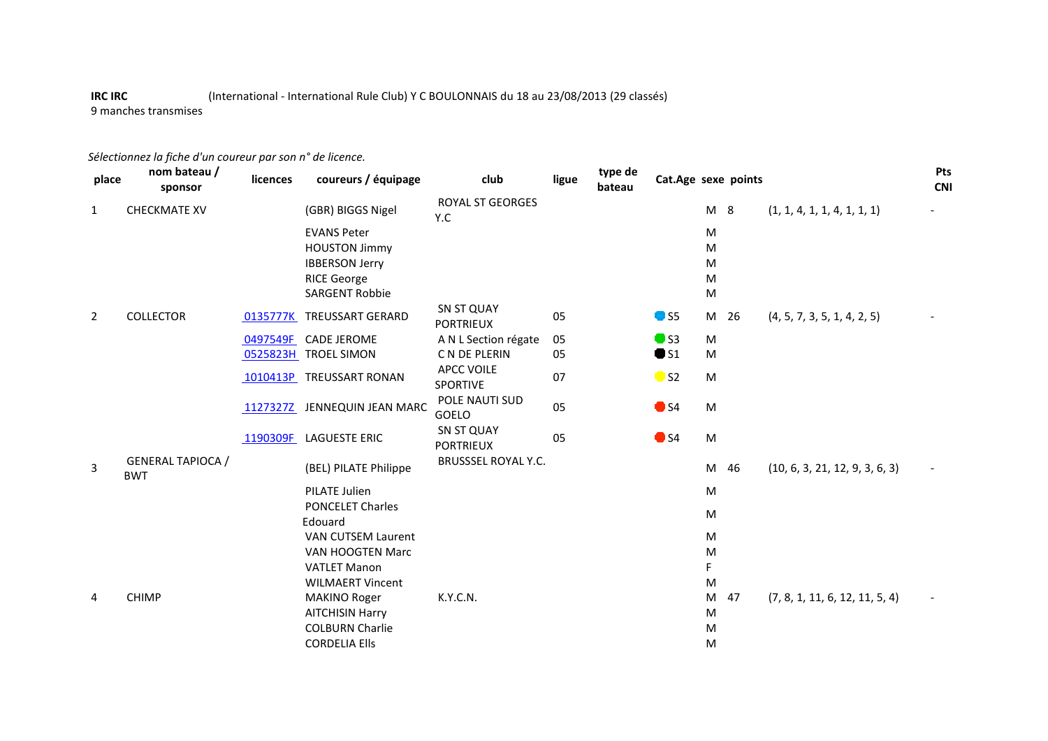## **IRC IRC** (International - International Rule Club) Y C BOULONNAIS du 18 au 23/08/2013 (29 classés)9 manches transmises

## *Sélectionnez la fiche d'un coureur par son n° de licence.*

| place          | nom bateau /<br>sponsor                | licences | coureurs / équipage          | club                                  | ligue | type de<br>bateau | Cat.Age sexe points      |           |    |                                | Pts<br><b>CNI</b> |
|----------------|----------------------------------------|----------|------------------------------|---------------------------------------|-------|-------------------|--------------------------|-----------|----|--------------------------------|-------------------|
| $\mathbf{1}$   | <b>CHECKMATE XV</b>                    |          | (GBR) BIGGS Nigel            | <b>ROYAL ST GEORGES</b><br>Y.C        |       |                   |                          | M 8       |    | (1, 1, 4, 1, 1, 4, 1, 1, 1)    |                   |
|                |                                        |          | <b>EVANS Peter</b>           |                                       |       |                   |                          | M         |    |                                |                   |
|                |                                        |          | <b>HOUSTON Jimmy</b>         |                                       |       |                   |                          | M         |    |                                |                   |
|                |                                        |          | <b>IBBERSON Jerry</b>        |                                       |       |                   |                          | M         |    |                                |                   |
|                |                                        |          | <b>RICE George</b>           |                                       |       |                   |                          | M         |    |                                |                   |
|                |                                        |          | <b>SARGENT Robbie</b>        |                                       |       |                   |                          | M         |    |                                |                   |
| $\overline{2}$ | <b>COLLECTOR</b>                       | 0135777K | <b>TREUSSART GERARD</b>      | SN ST QUAY<br><b>PORTRIEUX</b>        | 05    |                   | $\bullet$ S5             | M 26      |    | (4, 5, 7, 3, 5, 1, 4, 2, 5)    |                   |
|                |                                        | 0497549F | <b>CADE JEROME</b>           | A N L Section régate                  | 05    |                   | $\bullet$ S3             | M         |    |                                |                   |
|                |                                        |          | 0525823H TROEL SIMON         | C N DE PLERIN                         | 05    |                   | $\bullet$ S1             | M         |    |                                |                   |
|                |                                        |          | 1010413P TREUSSART RONAN     | <b>APCC VOILE</b><br><b>SPORTIVE</b>  | 07    |                   | $\bullet$ S <sub>2</sub> | ${\sf M}$ |    |                                |                   |
|                |                                        |          | 1127327Z JENNEQUIN JEAN MARC | POLE NAUTI SUD<br>GOELO               | 05    |                   | $\bullet$ S4             | M         |    |                                |                   |
|                |                                        | 1190309F | <b>LAGUESTE ERIC</b>         | <b>SN ST QUAY</b><br><b>PORTRIEUX</b> | 05    |                   | $\bullet$ S4             | M         |    |                                |                   |
| 3              | <b>GENERAL TAPIOCA /</b><br><b>BWT</b> |          | (BEL) PILATE Philippe        | BRUSSSEL ROYAL Y.C.                   |       |                   |                          | M 46      |    | (10, 6, 3, 21, 12, 9, 3, 6, 3) |                   |
|                |                                        |          | PILATE Julien                |                                       |       |                   |                          | M         |    |                                |                   |
|                |                                        |          | <b>PONCELET Charles</b>      |                                       |       |                   |                          |           |    |                                |                   |
|                |                                        |          | Edouard                      |                                       |       |                   |                          | M         |    |                                |                   |
|                |                                        |          | <b>VAN CUTSEM Laurent</b>    |                                       |       |                   |                          | M         |    |                                |                   |
|                |                                        |          | VAN HOOGTEN Marc             |                                       |       |                   |                          | M         |    |                                |                   |
|                |                                        |          | <b>VATLET Manon</b>          |                                       |       |                   |                          | F         |    |                                |                   |
|                |                                        |          | <b>WILMAERT Vincent</b>      |                                       |       |                   |                          | M         |    |                                |                   |
| 4              | <b>CHIMP</b>                           |          | <b>MAKINO Roger</b>          | K.Y.C.N.                              |       |                   |                          | M         | 47 | (7, 8, 1, 11, 6, 12, 11, 5, 4) |                   |
|                |                                        |          | <b>AITCHISIN Harry</b>       |                                       |       |                   |                          | M         |    |                                |                   |
|                |                                        |          | <b>COLBURN Charlie</b>       |                                       |       |                   |                          | M         |    |                                |                   |
|                |                                        |          | <b>CORDELIA Ells</b>         |                                       |       |                   |                          | M         |    |                                |                   |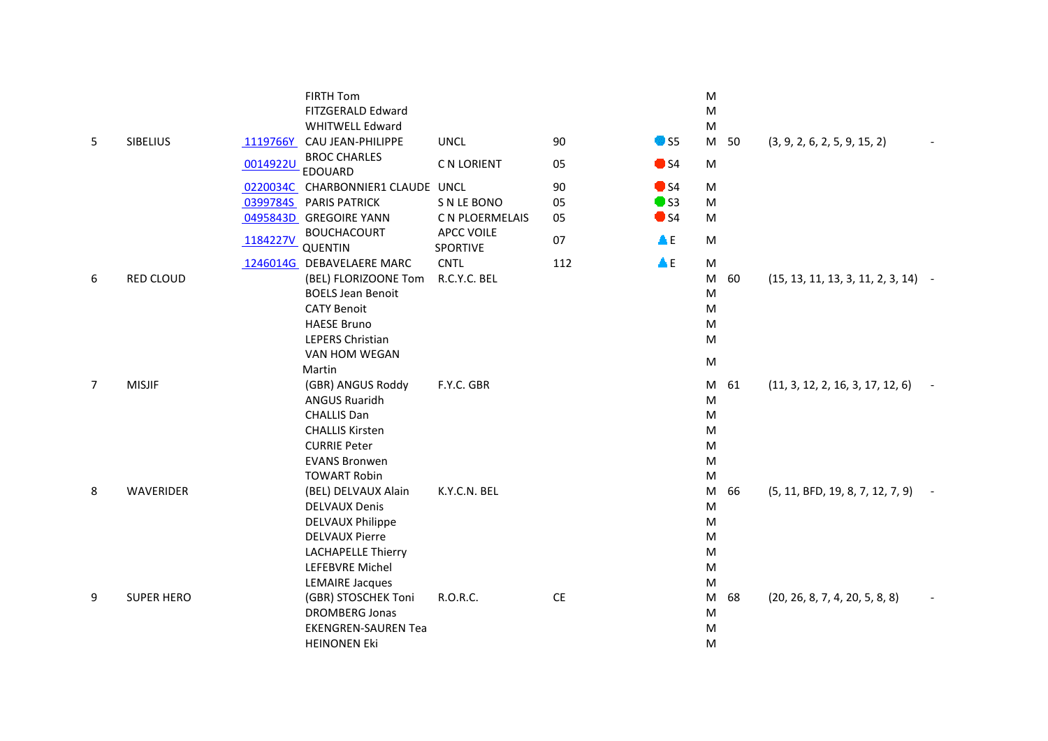|   |                   |          | FIRTH Tom<br>FITZGERALD Edward        |                               |           |               | M<br>${\sf M}$ |    |                                       |  |
|---|-------------------|----------|---------------------------------------|-------------------------------|-----------|---------------|----------------|----|---------------------------------------|--|
|   |                   |          | <b>WHITWELL Edward</b>                |                               |           |               | M              |    |                                       |  |
| 5 | <b>SIBELIUS</b>   |          | 1119766Y CAU JEAN-PHILIPPE            | <b>UNCL</b>                   | 90        | $\bullet$ S5  | M 50           |    | (3, 9, 2, 6, 2, 5, 9, 15, 2)          |  |
|   |                   | 0014922U | <b>BROC CHARLES</b><br><b>EDOUARD</b> | C N LORIENT                   | 05        | $\bullet$ S4  | M              |    |                                       |  |
|   |                   |          | 0220034C CHARBONNIER1 CLAUDE UNCL     |                               | 90        | $\bullet$ S4  | M              |    |                                       |  |
|   |                   |          | 0399784S PARIS PATRICK                | S N LE BONO                   | 05        | $\bullet$ S3  | M              |    |                                       |  |
|   |                   |          | 0495843D GREGOIRE YANN                | C N PLOERMELAIS               | 05        | $\bullet$ S4  | M              |    |                                       |  |
|   |                   | 1184227V | <b>BOUCHACOURT</b><br><b>QUENTIN</b>  | <b>APCC VOILE</b><br>SPORTIVE | 07        | $\triangle E$ | ${\sf M}$      |    |                                       |  |
|   |                   |          | 1246014G DEBAVELAERE MARC             | <b>CNTL</b>                   | 112       | $\triangle E$ | ${\sf M}$      |    |                                       |  |
| 6 | RED CLOUD         |          | (BEL) FLORIZOONE Tom                  | R.C.Y.C. BEL                  |           |               | M              | 60 | $(15, 13, 11, 13, 3, 11, 2, 3, 14)$ - |  |
|   |                   |          | <b>BOELS Jean Benoit</b>              |                               |           |               | ${\sf M}$      |    |                                       |  |
|   |                   |          | <b>CATY Benoit</b>                    |                               |           |               | M              |    |                                       |  |
|   |                   |          | <b>HAESE Bruno</b>                    |                               |           |               | M              |    |                                       |  |
|   |                   |          | LEPERS Christian                      |                               |           |               | M              |    |                                       |  |
|   |                   |          | VAN HOM WEGAN                         |                               |           |               | ${\sf M}$      |    |                                       |  |
|   |                   |          | Martin                                |                               |           |               |                |    |                                       |  |
| 7 | <b>MISJIF</b>     |          | (GBR) ANGUS Roddy                     | F.Y.C. GBR                    |           |               | M              | 61 | (11, 3, 12, 2, 16, 3, 17, 12, 6)      |  |
|   |                   |          | <b>ANGUS Ruaridh</b>                  |                               |           |               | ${\sf M}$      |    |                                       |  |
|   |                   |          | <b>CHALLIS Dan</b>                    |                               |           |               | ${\sf M}$      |    |                                       |  |
|   |                   |          | <b>CHALLIS Kirsten</b>                |                               |           |               | M              |    |                                       |  |
|   |                   |          | <b>CURRIE Peter</b>                   |                               |           |               | M              |    |                                       |  |
|   |                   |          | <b>EVANS Bronwen</b>                  |                               |           |               | ${\sf M}$      |    |                                       |  |
|   |                   |          | <b>TOWART Robin</b>                   |                               |           |               | M              |    |                                       |  |
| 8 | WAVERIDER         |          | (BEL) DELVAUX Alain                   | K.Y.C.N. BEL                  |           |               | M              | 66 | (5, 11, BFD, 19, 8, 7, 12, 7, 9)      |  |
|   |                   |          | <b>DELVAUX Denis</b>                  |                               |           |               | ${\sf M}$      |    |                                       |  |
|   |                   |          | <b>DELVAUX Philippe</b>               |                               |           |               | M              |    |                                       |  |
|   |                   |          | <b>DELVAUX Pierre</b>                 |                               |           |               | ${\sf M}$      |    |                                       |  |
|   |                   |          | <b>LACHAPELLE Thierry</b>             |                               |           |               | ${\sf M}$      |    |                                       |  |
|   |                   |          | LEFEBVRE Michel                       |                               |           |               | ${\sf M}$      |    |                                       |  |
|   |                   |          | <b>LEMAIRE Jacques</b>                |                               |           |               | ${\sf M}$      |    |                                       |  |
| 9 | <b>SUPER HERO</b> |          | (GBR) STOSCHEK Toni                   | R.O.R.C.                      | <b>CE</b> |               | M              | 68 | (20, 26, 8, 7, 4, 20, 5, 8, 8)        |  |
|   |                   |          | <b>DROMBERG Jonas</b>                 |                               |           |               | M              |    |                                       |  |
|   |                   |          | <b>EKENGREN-SAUREN Tea</b>            |                               |           |               | M              |    |                                       |  |
|   |                   |          | <b>HEINONEN Eki</b>                   |                               |           |               | M              |    |                                       |  |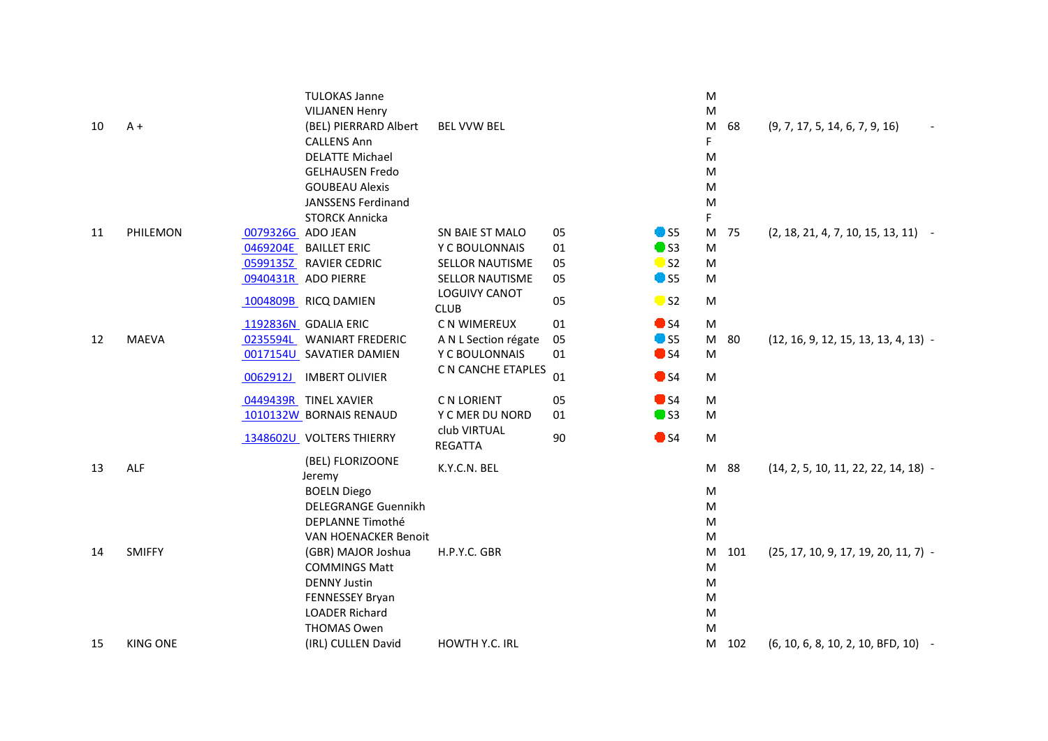|    |                 |                   | <b>TULOKAS Janne</b><br><b>VILJANEN Henry</b> |                                     |    |                          | M<br>${\sf M}$ |                                        |
|----|-----------------|-------------------|-----------------------------------------------|-------------------------------------|----|--------------------------|----------------|----------------------------------------|
| 10 | $A +$           |                   | (BEL) PIERRARD Albert                         | <b>BEL VVW BEL</b>                  |    |                          | M<br>68        | (9, 7, 17, 5, 14, 6, 7, 9, 16)         |
|    |                 |                   | <b>CALLENS Ann</b>                            |                                     |    |                          | F              |                                        |
|    |                 |                   | <b>DELATTE Michael</b>                        |                                     |    |                          | M              |                                        |
|    |                 |                   | <b>GELHAUSEN Fredo</b>                        |                                     |    |                          | ${\sf M}$      |                                        |
|    |                 |                   | <b>GOUBEAU Alexis</b>                         |                                     |    |                          | M              |                                        |
|    |                 |                   | <b>JANSSENS Ferdinand</b>                     |                                     |    |                          | ${\sf M}$      |                                        |
|    |                 |                   | <b>STORCK Annicka</b>                         |                                     |    |                          | F              |                                        |
| 11 | PHILEMON        | 0079326G ADO JEAN |                                               | SN BAIE ST MALO                     | 05 | $\bullet$ S5             | M<br>75        | $(2, 18, 21, 4, 7, 10, 15, 13, 11)$ -  |
|    |                 | 0469204E          | <b>BAILLET ERIC</b>                           | Y C BOULONNAIS                      | 01 | $\bullet$ S3             | M              |                                        |
|    |                 |                   | 0599135Z RAVIER CEDRIC                        | <b>SELLOR NAUTISME</b>              | 05 | $\bullet$ S <sub>2</sub> | M              |                                        |
|    |                 |                   | 0940431R ADO PIERRE                           | <b>SELLOR NAUTISME</b>              | 05 | <b>O</b> S5              | M              |                                        |
|    |                 |                   | 1004809B RICQ DAMIEN                          | <b>LOGUIVY CANOT</b><br><b>CLUB</b> | 05 | $\bullet$ S <sub>2</sub> | M              |                                        |
|    |                 |                   | 1192836N GDALIA ERIC                          | C N WIMEREUX                        | 01 | $\bullet$ S4             | M              |                                        |
| 12 | <b>MAEVA</b>    | 0235594L          | <b>WANIART FREDERIC</b>                       | A N L Section régate                | 05 | \$5                      | M<br>80        | $(12, 16, 9, 12, 15, 13, 13, 4, 13)$ - |
|    |                 |                   | 0017154U SAVATIER DAMIEN                      | Y C BOULONNAIS                      | 01 | $\bullet$ S4             | M              |                                        |
|    |                 |                   | 0062912J IMBERT OLIVIER                       | C N CANCHE ETAPLES                  | 01 | $\bullet$ S4             | M              |                                        |
|    |                 |                   | 0449439R TINEL XAVIER                         | C N LORIENT                         | 05 | $\blacksquare$ S4        | M              |                                        |
|    |                 |                   | 1010132W BORNAIS RENAUD                       | Y C MER DU NORD                     | 01 | $\bullet$ S3             | M              |                                        |
|    |                 |                   | 1348602U VOLTERS THIERRY                      | club VIRTUAL<br><b>REGATTA</b>      | 90 | $\bullet$ S4             | ${\sf M}$      |                                        |
| 13 | ALF             |                   | (BEL) FLORIZOONE<br>Jeremy                    | K.Y.C.N. BEL                        |    |                          | 88<br>M        | $(14, 2, 5, 10, 11, 22, 22, 14, 18)$ - |
|    |                 |                   | <b>BOELN Diego</b>                            |                                     |    |                          | ${\sf M}$      |                                        |
|    |                 |                   | <b>DELEGRANGE Guennikh</b>                    |                                     |    |                          | M              |                                        |
|    |                 |                   | DEPLANNE Timothé                              |                                     |    |                          | M              |                                        |
|    |                 |                   | <b>VAN HOENACKER Benoit</b>                   |                                     |    |                          | M              |                                        |
| 14 | <b>SMIFFY</b>   |                   | (GBR) MAJOR Joshua                            | H.P.Y.C. GBR                        |    |                          | 101<br>M       | $(25, 17, 10, 9, 17, 19, 20, 11, 7)$ - |
|    |                 |                   | <b>COMMINGS Matt</b>                          |                                     |    |                          | ${\sf M}$      |                                        |
|    |                 |                   | <b>DENNY Justin</b>                           |                                     |    |                          | M              |                                        |
|    |                 |                   | FENNESSEY Bryan                               |                                     |    |                          | M              |                                        |
|    |                 |                   | <b>LOADER Richard</b>                         |                                     |    |                          | M              |                                        |
|    |                 |                   | <b>THOMAS Owen</b>                            |                                     |    |                          | M              |                                        |
| 15 | <b>KING ONE</b> |                   | (IRL) CULLEN David                            | <b>HOWTH Y.C. IRL</b>               |    |                          | 102<br>M       | (6, 10, 6, 8, 10, 2, 10, BFD, 10) -    |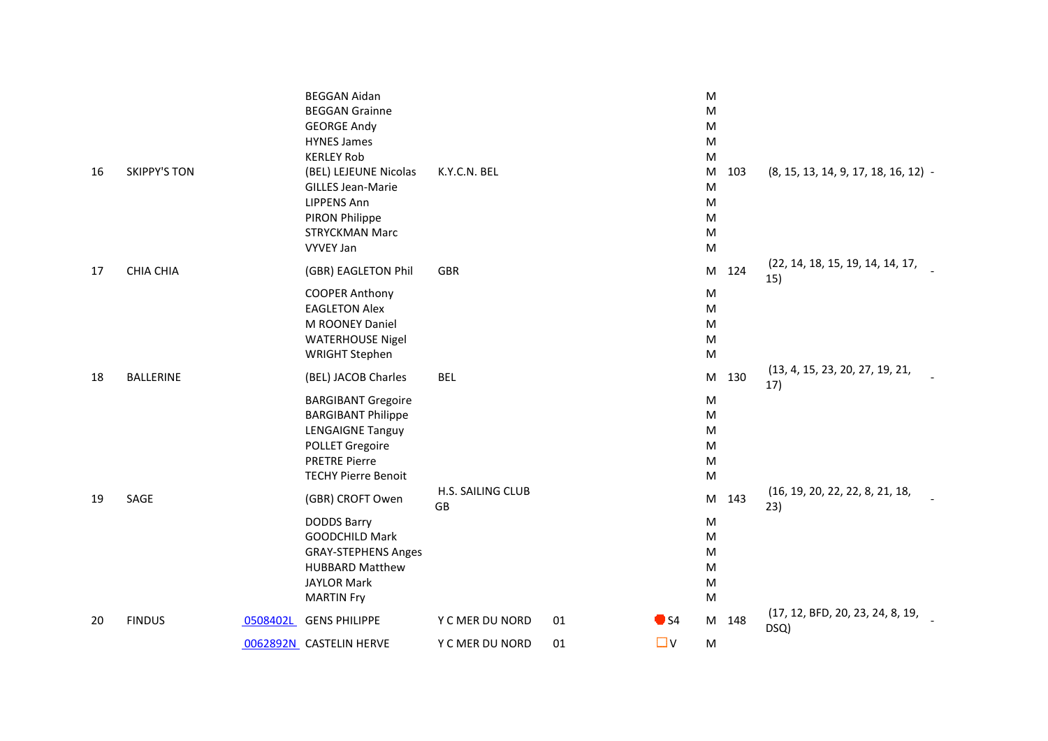| 16 | <b>SKIPPY'S TON</b> | <b>BEGGAN Aidan</b><br><b>BEGGAN Grainne</b><br><b>GEORGE Andy</b><br><b>HYNES James</b><br><b>KERLEY Rob</b><br>(BEL) LEJEUNE Nicolas<br><b>GILLES Jean-Marie</b><br><b>LIPPENS Ann</b> | K.Y.C.N. BEL            |    |              | M<br>M<br>M<br>M<br>M<br>103<br>M<br>M<br>M                                                                       | $(8, 15, 13, 14, 9, 17, 18, 16, 12)$ -   |
|----|---------------------|------------------------------------------------------------------------------------------------------------------------------------------------------------------------------------------|-------------------------|----|--------------|-------------------------------------------------------------------------------------------------------------------|------------------------------------------|
|    |                     | PIRON Philippe<br><b>STRYCKMAN Marc</b><br><b>VYVEY Jan</b>                                                                                                                              |                         |    |              | M<br>M<br>M                                                                                                       |                                          |
| 17 | <b>CHIA CHIA</b>    | (GBR) EAGLETON Phil                                                                                                                                                                      | <b>GBR</b>              |    |              | 124<br>$\mathsf{M}% _{T}=\mathsf{M}_{T}\!\left( a,b\right) ,\ \mathsf{M}_{T}=\mathsf{M}_{T}\!\left( a,b\right) ,$ | (22, 14, 18, 15, 19, 14, 14, 17,<br>15)  |
|    |                     | <b>COOPER Anthony</b><br><b>EAGLETON Alex</b><br>M ROONEY Daniel<br><b>WATERHOUSE Nigel</b><br><b>WRIGHT Stephen</b>                                                                     |                         |    |              | M<br>M<br>M<br>M<br>M                                                                                             |                                          |
| 18 | <b>BALLERINE</b>    | (BEL) JACOB Charles                                                                                                                                                                      | <b>BEL</b>              |    |              | 130<br>M                                                                                                          | (13, 4, 15, 23, 20, 27, 19, 21,<br>17)   |
|    |                     | <b>BARGIBANT Gregoire</b><br><b>BARGIBANT Philippe</b><br><b>LENGAIGNE Tanguy</b><br><b>POLLET Gregoire</b><br><b>PRETRE Pierre</b><br><b>TECHY Pierre Benoit</b>                        |                         |    |              | M<br>M<br>M<br>M<br>M<br>M                                                                                        |                                          |
| 19 | SAGE                | (GBR) CROFT Owen<br><b>DODDS Barry</b><br><b>GOODCHILD Mark</b><br><b>GRAY-STEPHENS Anges</b><br><b>HUBBARD Matthew</b><br><b>JAYLOR Mark</b><br><b>MARTIN Fry</b>                       | H.S. SAILING CLUB<br>GB |    |              | 143<br>M<br>M<br>M<br>M<br>M<br>M<br>M                                                                            | (16, 19, 20, 22, 22, 8, 21, 18,<br>23)   |
| 20 | <b>FINDUS</b>       | 0508402L GENS PHILIPPE                                                                                                                                                                   | Y C MER DU NORD         | 01 | $\bullet$ S4 | M 148                                                                                                             | (17, 12, BFD, 20, 23, 24, 8, 19,<br>DSQ) |
|    |                     | 0062892N CASTELIN HERVE                                                                                                                                                                  | Y C MER DU NORD         | 01 | $\Box$       | M                                                                                                                 |                                          |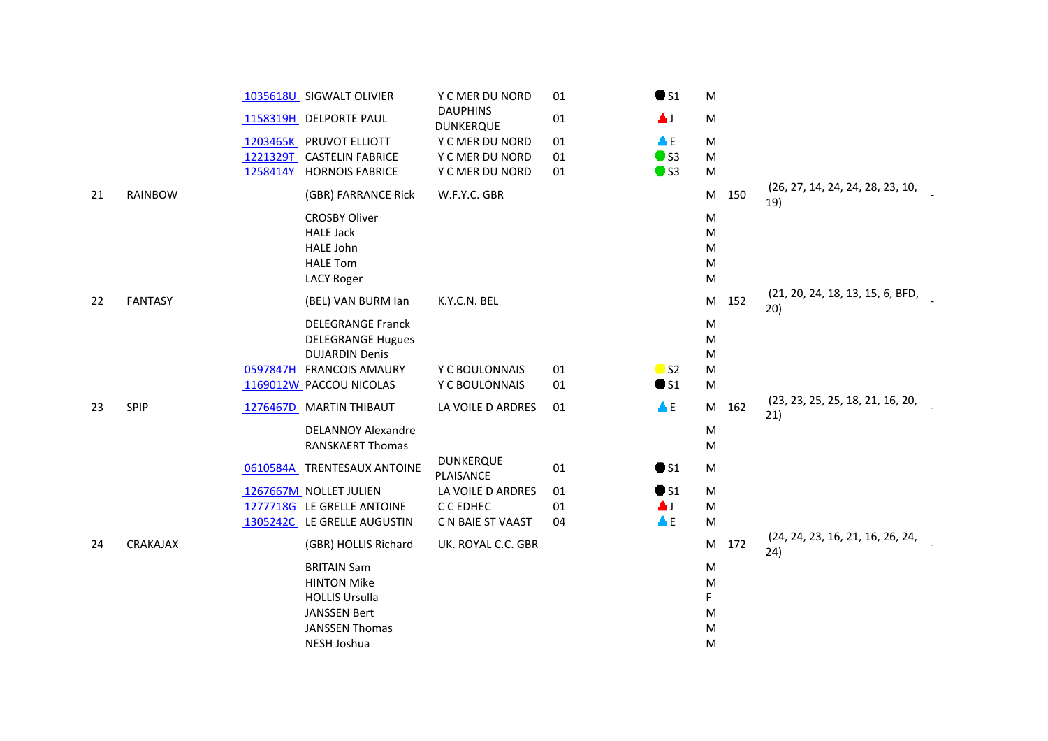|    |                |          | 1035618U SIGWALT OLIVIER    | Y C MER DU NORD                     | 01 | $\bullet$ S1             | M         |                                         |
|----|----------------|----------|-----------------------------|-------------------------------------|----|--------------------------|-----------|-----------------------------------------|
|    |                |          | 1158319H DELPORTE PAUL      | <b>DAUPHINS</b><br><b>DUNKERQUE</b> | 01 | 富丁                       | M         |                                         |
|    |                |          | 1203465K PRUVOT ELLIOTT     | Y C MER DU NORD                     | 01 | $\triangle E$            | M         |                                         |
|    |                |          | 1221329T CASTELIN FABRICE   | Y C MER DU NORD                     | 01 | $\bullet$ S3             | M         |                                         |
|    |                | 1258414Y | <b>HORNOIS FABRICE</b>      | Y C MER DU NORD                     | 01 | $\bullet$ S3             | ${\sf M}$ |                                         |
| 21 | <b>RAINBOW</b> |          | (GBR) FARRANCE Rick         | W.F.Y.C. GBR                        |    |                          | 150<br>M  | (26, 27, 14, 24, 24, 28, 23, 10,<br>19) |
|    |                |          | <b>CROSBY Oliver</b>        |                                     |    |                          | M         |                                         |
|    |                |          | <b>HALE Jack</b>            |                                     |    |                          | M         |                                         |
|    |                |          | <b>HALE John</b>            |                                     |    |                          | M         |                                         |
|    |                |          | <b>HALE Tom</b>             |                                     |    |                          | M         |                                         |
|    |                |          | <b>LACY Roger</b>           |                                     |    |                          | M         |                                         |
| 22 | <b>FANTASY</b> |          | (BEL) VAN BURM Ian          | K.Y.C.N. BEL                        |    |                          | M<br>152  | (21, 20, 24, 18, 13, 15, 6, BFD,<br>20) |
|    |                |          | <b>DELEGRANGE Franck</b>    |                                     |    |                          | M         |                                         |
|    |                |          | <b>DELEGRANGE Hugues</b>    |                                     |    |                          | M         |                                         |
|    |                |          | <b>DUJARDIN Denis</b>       |                                     |    |                          | M         |                                         |
|    |                |          | 0597847H FRANCOIS AMAURY    | Y C BOULONNAIS                      | 01 | $\bullet$ S <sub>2</sub> | M         |                                         |
|    |                |          | 1169012W PACCOU NICOLAS     | Y C BOULONNAIS                      | 01 | $\bullet$ S1             | M         |                                         |
| 23 | SPIP           |          | 1276467D MARTIN THIBAUT     | LA VOILE D ARDRES                   | 01 | $\triangle E$            | 162<br>M  | (23, 23, 25, 25, 18, 21, 16, 20,<br>21) |
|    |                |          | <b>DELANNOY Alexandre</b>   |                                     |    |                          | M         |                                         |
|    |                |          | <b>RANSKAERT Thomas</b>     |                                     |    |                          | M         |                                         |
|    |                |          | 0610584A TRENTESAUX ANTOINE | DUNKERQUE<br>PLAISANCE              | 01 | $\bullet$ S1             | M         |                                         |
|    |                |          | 1267667M NOLLET JULIEN      | LA VOILE D ARDRES                   | 01 | $\bullet$ S1             | M         |                                         |
|    |                |          | 1277718G LE GRELLE ANTOINE  | C C EDHEC                           | 01 | 高川                       | M         |                                         |
|    |                |          | 1305242C LE GRELLE AUGUSTIN | C N BAIE ST VAAST                   | 04 | $\triangle E$            | M         |                                         |
| 24 | CRAKAJAX       |          | (GBR) HOLLIS Richard        | UK. ROYAL C.C. GBR                  |    |                          | 172<br>M  | (24, 24, 23, 16, 21, 16, 26, 24,<br>24) |
|    |                |          | <b>BRITAIN Sam</b>          |                                     |    |                          | M         |                                         |
|    |                |          | <b>HINTON Mike</b>          |                                     |    |                          | M         |                                         |
|    |                |          | <b>HOLLIS Ursulla</b>       |                                     |    |                          | F.        |                                         |
|    |                |          | JANSSEN Bert                |                                     |    |                          | M         |                                         |
|    |                |          | <b>JANSSEN Thomas</b>       |                                     |    |                          | M         |                                         |
|    |                |          | NESH Joshua                 |                                     |    |                          | M         |                                         |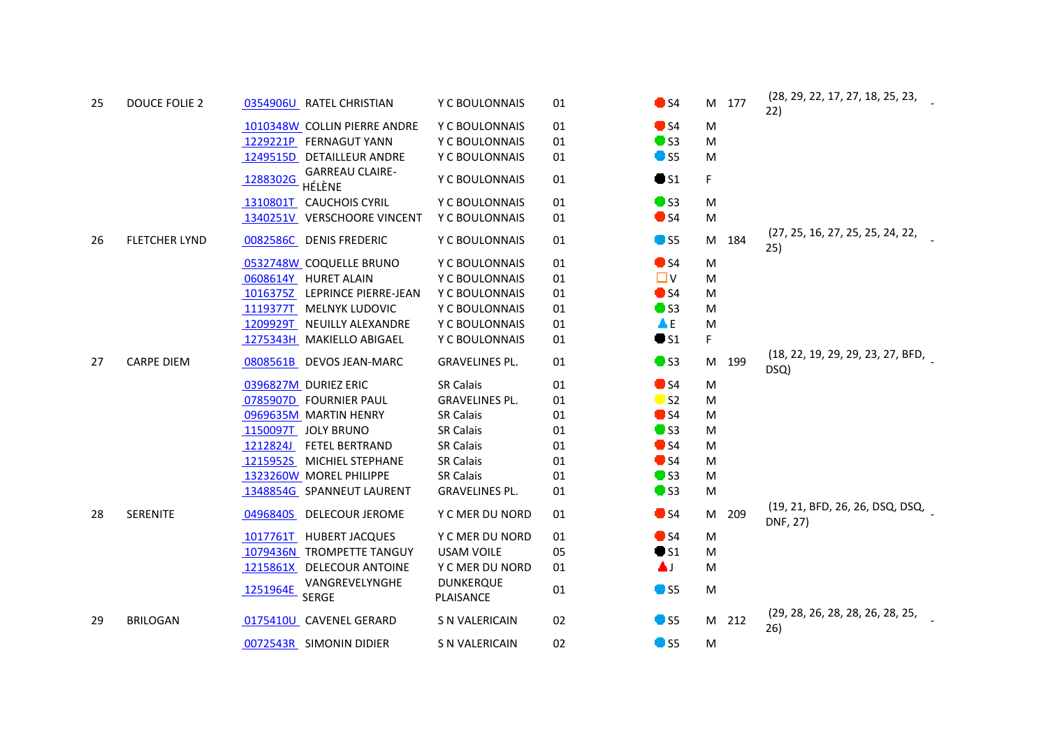| 25 | <b>DOUCE FOLIE 2</b> | 0354906U RATEL CHRISTIAN                     | Y C BOULONNAIS                | 01 | $\bullet$ S4      | M 177    | (28, 29, 22, 17, 27, 18, 25, 23,<br>22)     |
|----|----------------------|----------------------------------------------|-------------------------------|----|-------------------|----------|---------------------------------------------|
|    |                      | 1010348W COLLIN PIERRE ANDRE                 | Y C BOULONNAIS                | 01 | $\bullet$ S4      | M        |                                             |
|    |                      | 1229221P FERNAGUT YANN                       | Y C BOULONNAIS                | 01 | $\bullet$ S3      | M        |                                             |
|    |                      | 1249515D DETAILLEUR ANDRE                    | Y C BOULONNAIS                | 01 | $\bullet$ S5      | M        |                                             |
|    |                      | <b>GARREAU CLAIRE-</b><br>1288302G<br>HÉLÈNE | Y C BOULONNAIS                | 01 | $\bullet$ S1      | F        |                                             |
|    |                      | 1310801T<br><b>CAUCHOIS CYRIL</b>            | Y C BOULONNAIS                | 01 | $\bullet$ S3      | M        |                                             |
|    |                      | 1340251V VERSCHOORE VINCENT                  | Y C BOULONNAIS                | 01 | $\bullet$ S4      | M        |                                             |
| 26 | <b>FLETCHER LYND</b> | 0082586C DENIS FREDERIC                      | Y C BOULONNAIS                | 01 | $\blacksquare$ S5 | M 184    | (27, 25, 16, 27, 25, 25, 24, 22,<br>25)     |
|    |                      | 0532748W COQUELLE BRUNO                      | Y C BOULONNAIS                | 01 | $\bullet$ S4      | M        |                                             |
|    |                      | 0608614Y HURET ALAIN                         | Y C BOULONNAIS                | 01 | $\Box$ V          | M        |                                             |
|    |                      | 1016375Z LEPRINCE PIERRE-JEAN                | Y C BOULONNAIS                | 01 | $\bullet$ S4      | M        |                                             |
|    |                      | 1119377T<br>MELNYK LUDOVIC                   | Y C BOULONNAIS                | 01 | $\bullet$ S3      | M        |                                             |
|    |                      | 1209929T NEUILLY ALEXANDRE                   | Y C BOULONNAIS                | 01 | ΔE                | M        |                                             |
|    |                      | 1275343H MAKIELLO ABIGAEL                    | Y C BOULONNAIS                | 01 | $\bullet$ S1      | F        |                                             |
| 27 | <b>CARPE DIEM</b>    | 0808561B DEVOS JEAN-MARC                     | <b>GRAVELINES PL.</b>         | 01 | $\bullet$ S3      | M 199    | (18, 22, 19, 29, 29, 23, 27, BFD,<br>DSQ)   |
|    |                      | 0396827M DURIEZ ERIC                         | <b>SR Calais</b>              | 01 | $\bullet$ S4      | M        |                                             |
|    |                      | 0785907D FOURNIER PAUL                       | <b>GRAVELINES PL.</b>         | 01 | $\blacksquare$ S2 | M        |                                             |
|    |                      | 0969635M MARTIN HENRY                        | <b>SR Calais</b>              | 01 | $\bullet$ S4      | M        |                                             |
|    |                      | 1150097T<br><b>JOLY BRUNO</b>                | <b>SR Calais</b>              | 01 | $\blacksquare$ S3 | M        |                                             |
|    |                      | 1212824J<br><b>FETEL BERTRAND</b>            | <b>SR Calais</b>              | 01 | $\bullet$ S4      | M        |                                             |
|    |                      | 1215952S MICHIEL STEPHANE                    | <b>SR Calais</b>              | 01 | $\bullet$ S4      | M        |                                             |
|    |                      | 1323260W MOREL PHILIPPE                      | <b>SR Calais</b>              | 01 | $\bullet$ S3      | M        |                                             |
|    |                      | 1348854G SPANNEUT LAURENT                    | <b>GRAVELINES PL.</b>         | 01 | $\bullet$ S3      | M        |                                             |
| 28 | <b>SERENITE</b>      | 0496840S DELECOUR JEROME                     | Y C MER DU NORD               | 01 | $\bullet$ S4      | M<br>209 | (19, 21, BFD, 26, 26, DSQ, DSQ,<br>DNF, 27) |
|    |                      | 1017761T HUBERT JACQUES                      | Y C MER DU NORD               | 01 | $\bullet$ S4      | M        |                                             |
|    |                      | 1079436N TROMPETTE TANGUY                    | <b>USAM VOILE</b>             | 05 | $\bullet$ S1      | M        |                                             |
|    |                      | 1215861X DELECOUR ANTOINE                    | Y C MER DU NORD               | 01 | ▲⊥                | M        |                                             |
|    |                      | VANGREVELYNGHE<br>1251964E<br><b>SERGE</b>   | <b>DUNKERQUE</b><br>PLAISANCE | 01 | <b>O</b> S5       | M        |                                             |
| 29 | <b>BRILOGAN</b>      | 0175410U CAVENEL GERARD                      | S N VALERICAIN                | 02 | $\bullet$ S5      | M 212    | (29, 28, 26, 28, 28, 26, 28, 25,<br>26)     |
|    |                      | 0072543R SIMONIN DIDIER                      | S N VALERICAIN                | 02 | <b>OD</b> 55      | M        |                                             |